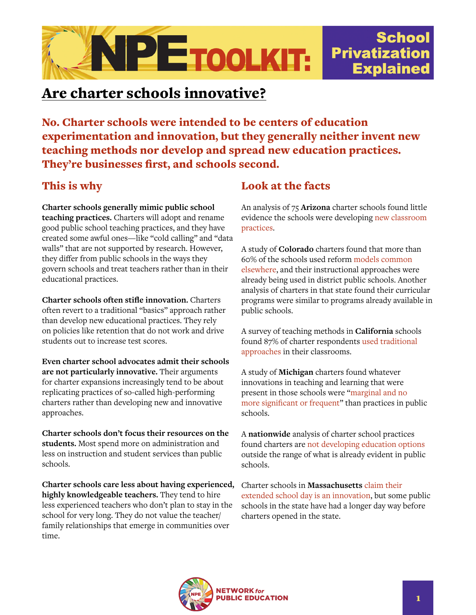

## Are charter schools innovative?

No. Charter schools were intended to be centers of education experimentation and innovation, but they generally neither invent new teaching methods nor develop and spread new education practices. They're businesses first, and schools second.

## This is why

**Charter schools generally mimic public school teaching practices.** Charters will adopt and rename good public school teaching practices, and they have created some awful ones—like "cold calling" and "data walls" that are not supported by research. However, they differ from public schools in the ways they govern schools and treat teachers rather than in their educational practices.

**Charter schools often stifle innovation.** Charters often revert to a traditional "basics" approach rather than develop new educational practices. They rely on policies like retention that do not work and drive students out to increase test scores.

**Even charter school advocates admit their schools are not particularly innovative.** Their arguments for charter expansions increasingly tend to be about replicating practices of so-called high-performing charters rather than developing new and innovative approaches.

**Charter schools don't focus their resources on the students.** Most spend more on administration and less on instruction and student services than public schools.

**Charter schools care less about having experienced, highly knowledgeable teachers.** They tend to hire less experienced teachers who don't plan to stay in the school for very long. They do not value the teacher/ family relationships that emerge in communities over time.

## Look at the facts

An analysis of 75 **Arizona** charter schools found little evidence the schools were developing [new classroom](https://journals.sagepub.com/doi/10.3102/00028312040002395)  [practices](https://journals.sagepub.com/doi/10.3102/00028312040002395).

A study of **Colorado** charters found that more than 60% of the schools used reform [models common](https://journals.sagepub.com/doi/10.3102/00028312040002395)  [elsewhere](https://journals.sagepub.com/doi/10.3102/00028312040002395), and their instructional approaches were already being used in district public schools. Another analysis of charters in that state found their curricular programs were similar to programs already available in public schools.

A survey of teaching methods in **California** schools found 87% of charter respondents [used traditional](https://journals.sagepub.com/doi/10.3102/00028312040002395)  [approaches](https://journals.sagepub.com/doi/10.3102/00028312040002395) in their classrooms.

A study of **Michigan** charters found whatever innovations in teaching and learning that were present in those schools were "[marginal and no](https://journals.sagepub.com/doi/10.3102/00028312040002395)  [more significant or frequent](https://journals.sagepub.com/doi/10.3102/00028312040002395)" than practices in public schools.

A **nationwide** analysis of charter school practices found charters are [not developing education options](https://journals.sagepub.com/doi/10.3102/00028312040002395) outside the range of what is already evident in public schools.

Charter schools in **Massachusetts** [claim their](https://www.bostonglobe.com/metro/2016/10/11/have-charter-schools-fulfilled-promise-innovators-debate-persists/r8kZEcTiXnnPML1gCcOa7I/story.html)  [extended school day is an innovation,](https://www.bostonglobe.com/metro/2016/10/11/have-charter-schools-fulfilled-promise-innovators-debate-persists/r8kZEcTiXnnPML1gCcOa7I/story.html) but some public schools in the state have had a longer day way before charters opened in the state.